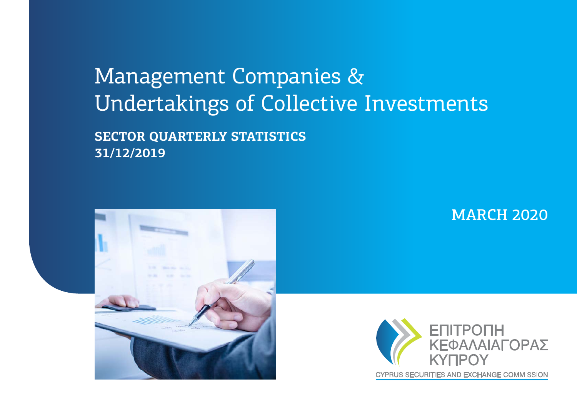# Management Companies & Undertakings of Collective Investments

**SECTOR QUARTERLY STATISTICS 31/12/2019**



MARCH 2020

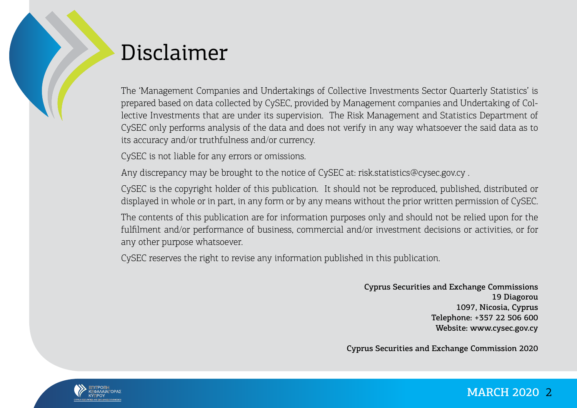

# Disclaimer

The 'Management Companies and Undertakings of Collective Investments Sector Quarterly Statistics' is prepared based on data collected by CySEC, provided by Management companies and Undertaking of Collective Investments that are under its supervision. The Risk Management and Statistics Department of CySEC only performs analysis of the data and does not verify in any way whatsoever the said data as to its accuracy and/or truthfulness and/or currency.

CySEC is not liable for any errors or omissions.

Any discrepancy may be brought to the notice of CySEC at: risk.statistics@cysec.gov.cy .

CySEC is the copyright holder of this publication. It should not be reproduced, published, distributed or displayed in whole or in part, in any form or by any means without the prior written permission of CySEC.

The contents of this publication are for information purposes only and should not be relied upon for the fulfilment and/or performance of business, commercial and/or investment decisions or activities, or for any other purpose whatsoever.

CySEC reserves the right to revise any information published in this publication.

Cyprus Securities and Exchange Commissions 19 Diagorou 1097, Nicosia, Cyprus Telephone: +357 22 506 600 Website: www.cysec.gov.cy

Cyprus Securities and Exchange Commission 2020

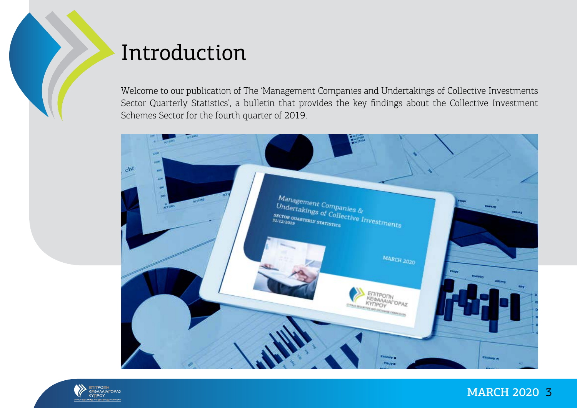

# Introduction

Welcome to our publication of The 'Management Companies and Undertakings of Collective Investments Sector Quarterly Statistics', a bulletin that provides the key findings about the Collective Investment Schemes Sector for the fourth quarter of 2019.



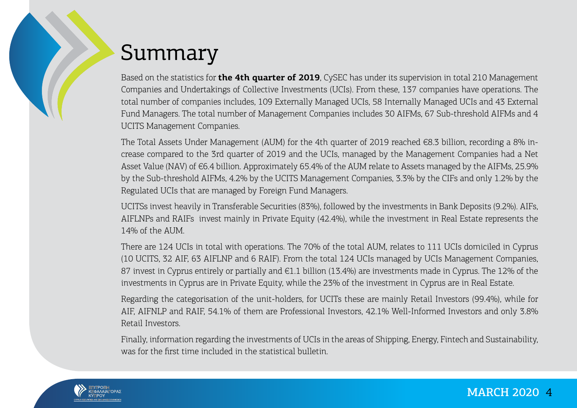# Summary

Based on the statistics for **the 4th quarter of 2019**, CySEC has under its supervision in total 210 Management Companies and Undertakings of Collective Investments (UCIs). From these, 137 companies have operations. The total number of companies includes, 109 Externally Managed UCIs, 58 Internally Managed UCIs and 43 External Fund Managers. The total number of Management Companies includes 30 AIFMs, 67 Sub-threshold AIFMs and 4 UCITS Management Companies.

The Total Assets Under Management (AUM) for the 4th quarter of 2019 reached €8.3 billion, recording a 8% increase compared to the 3rd quarter of 2019 and the UCIs, managed by the Management Companies had a Net Asset Value (NAV) of €6.4 billion. Approximately 65.4% of the AUM relate to Assets managed by the AIFMs, 25.9% by the Sub-threshold AIFMs, 4.2% by the UCITS Management Companies, 3.3% by the CIFs and only 1.2% by the Regulated UCIs that are managed by Foreign Fund Managers.

UCITSs invest heavily in Transferable Securities (83%), followed by the investments in Bank Deposits (9.2%). AIFs, AIFLNPs and RAIFs invest mainly in Private Equity (42.4%), while the investment in Real Estate represents the 14% of the AUM.

There are 124 UCIs in total with operations. The 70% of the total AUM, relates to 111 UCIs domiciled in Cyprus (10 UCITS, 32 AIF, 63 AIFLNP and 6 RAIF). From the total 124 UCIs managed by UCIs Management Companies, 87 invest in Cyprus entirely or partially and €1.1 billion (13.4%) are investments made in Cyprus. The 12% of the investments in Cyprus are in Private Equity, while the 23% of the investment in Cyprus are in Real Estate.

Regarding the categorisation of the unit-holders, for UCITs these are mainly Retail Investors (99.4%), while for AIF, AIFNLP and RAIF, 54.1% of them are Professional Investors, 42.1% Well-Informed Investors and only 3.8% Retail Investors.

Finally, information regarding the investments of UCIs in the areas of Shipping, Energy, Fintech and Sustainability, was for the first time included in the statistical bulletin.

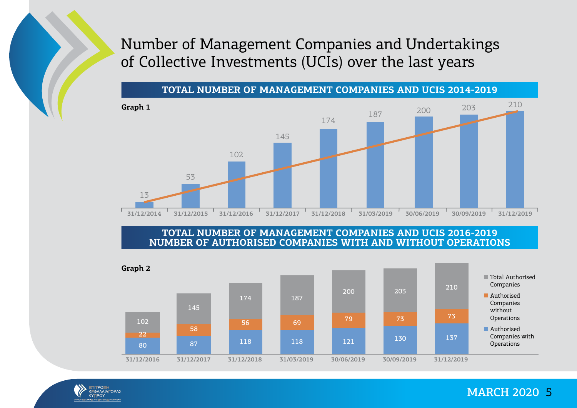### Number of Management Companies and Undertakings of Collective Investments (UCIs) over the last years

**TOTAL NUMBER OF MANAGEMENT COMPANIES AND UCIS 2014-2019**



**TOTAL NUMBER OF MANAGEMENT COMPANIES AND UCIS 2016-2019 NUMBER OF AUTHORISED COMPANIES WITH AND WITHOUT OPERATIONS**



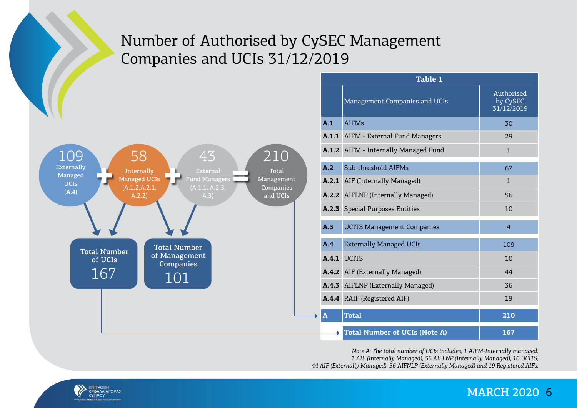### Number of Authorised by CySEC Management Companies and UCIs 31/12/2019



| Table 1      |                                      |                                      |  |  |  |  |  |
|--------------|--------------------------------------|--------------------------------------|--|--|--|--|--|
|              | Management Companies and UCIs        | Authorised<br>by CySEC<br>31/12/2019 |  |  |  |  |  |
| A.1          | <b>AIFMs</b>                         | 30                                   |  |  |  |  |  |
|              | A.1.1 AIFM - External Fund Managers  | 29                                   |  |  |  |  |  |
|              | A.1.2 AIFM - Internally Managed Fund | $\mathbf{1}$                         |  |  |  |  |  |
| A.2          | Sub-threshold AIFMs                  | 67                                   |  |  |  |  |  |
|              | A.2.1 AIF (Internally Managed)       | $\mathbf{1}$                         |  |  |  |  |  |
|              | A.2.2 AIFLNP (Internally Managed)    | 56                                   |  |  |  |  |  |
|              | A.2.3 Special Purposes Entities      | 10                                   |  |  |  |  |  |
| A.3          | <b>UCITS Management Companies</b>    | $\overline{4}$                       |  |  |  |  |  |
| A.4          | <b>Externally Managed UCIs</b>       | 109                                  |  |  |  |  |  |
|              | A.4.1 UCITS                          | 10                                   |  |  |  |  |  |
|              | A.4.2 AIF (Externally Managed)       | 44                                   |  |  |  |  |  |
|              | A.4.3 AIFLNP (Externally Managed)    | 36                                   |  |  |  |  |  |
|              | A.4.4 RAIF (Registered AIF)          | 19                                   |  |  |  |  |  |
| $\mathbf{A}$ | <b>Total</b>                         | 210                                  |  |  |  |  |  |
|              | <b>Total Number of UCIs (Note A)</b> | 167                                  |  |  |  |  |  |

*Note A: The total number of UCIs includes, 1 AIFM-Internally managed, 1 AIF (Internally Managed), 56 AIFLNP (Internally Managed), 10 UCITS, 44 AIF (Externally Managed), 36 AIFNLP (Externally Managed) and 19 Registered AIFs.*

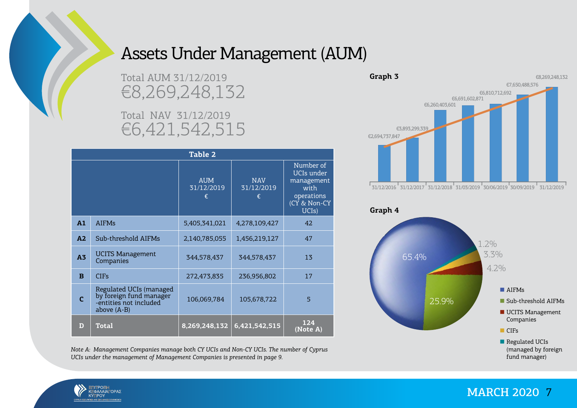

## Assets Under Management (AUM)

Total AUM 31/12/2019 €8,269,248,132

Total NAV 31/12/2019 €6,421,542,515

| Table 2        |                                                                                               |                               |                               |                                                                                                   |  |  |  |
|----------------|-----------------------------------------------------------------------------------------------|-------------------------------|-------------------------------|---------------------------------------------------------------------------------------------------|--|--|--|
|                |                                                                                               | <b>AUM</b><br>31/12/2019<br>€ | <b>NAV</b><br>31/12/2019<br>€ | Number of<br>UCIs under<br>management<br>with<br>operations<br>(CY & Non-CY<br>UCI <sub>s</sub> ) |  |  |  |
| A1             | <b>AIFMs</b>                                                                                  | 5,405,341,021                 | 4,278,109,427                 | 42                                                                                                |  |  |  |
| A2             | Sub-threshold AIFMs                                                                           | 2,140,785,055                 | 1,456,219,127                 | 47                                                                                                |  |  |  |
| A <sub>3</sub> | <b>UCITS Management</b><br>Companies                                                          | 344,578,437                   | 344,578,437                   | 13                                                                                                |  |  |  |
| $\bf{B}$       | <b>CIFs</b>                                                                                   | 272,473,835                   | 236,956,802                   | 17                                                                                                |  |  |  |
| $\mathbf{C}$   | Regulated UCIs (managed<br>by foreign fund manager<br>-entities not included<br>above $(A-B)$ | 106,069,784                   | 105,678,722                   | 5                                                                                                 |  |  |  |
| D              | <b>Total</b>                                                                                  | 8,269,248,132                 | 6,421,542,515                 | 124<br>(Note A)                                                                                   |  |  |  |









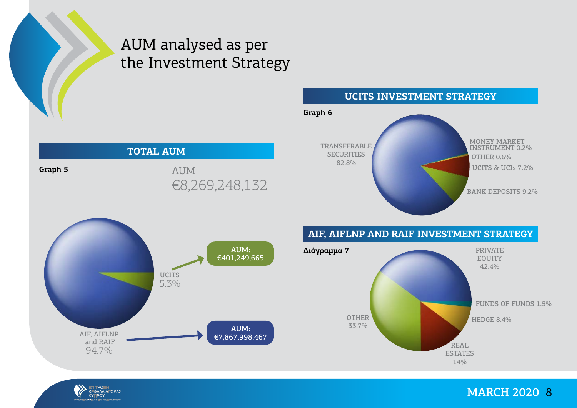

**Graph 5**

### AUM analysed as per the Investment Strategy



#### **UCITS INVESTMENT STRATEGY**





#### **AIF, AIFLNP AND RAIF INVESTMENT STRATEGY**



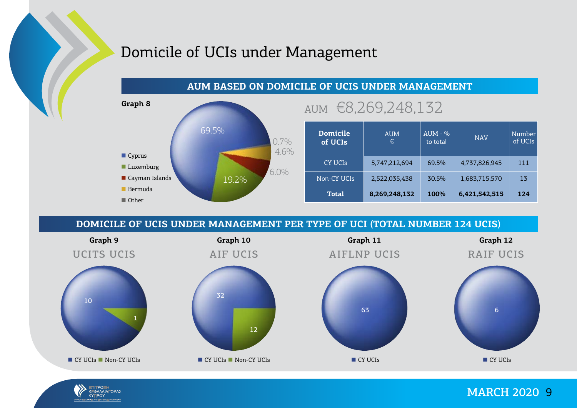## Domicile of UCIs under Management





| <b>Domicile</b><br>of UCIs | <b>AUM</b><br>€ | $AUM - %$<br>to total | <b>NAV</b>    | Number<br>of UCIs |
|----------------------------|-----------------|-----------------------|---------------|-------------------|
| CY UCIS                    | 5,747,212,694   | 69.5%                 | 4,737,826,945 | 111               |
| Non-CY UCIs                | 2,522,035,438   | 30.5%                 | 1,683,715,570 | 1 <sub>5</sub>    |
| Total                      | 8,269,248,132   | 100%                  | 6,421,542,515 | 124               |

#### **DOMICILE OF UCIS UNDER MANAGEMENT PER TYPE OF UCI (TOTAL NUMBER 124 UCIS)**



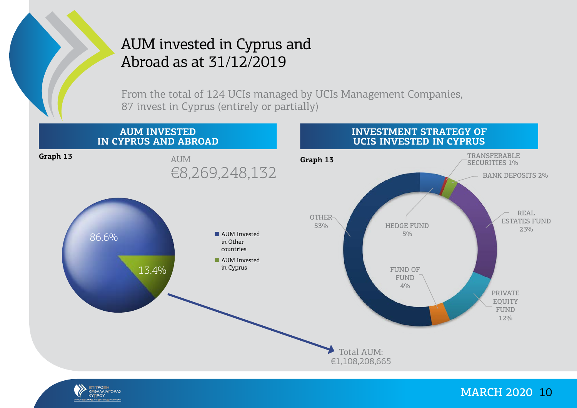

### AUM invested in Cyprus and Abroad as at 31/12/2019

From the total of 124 UCIs managed by UCIs Management Companies, 87 invest in Cyprus (entirely or partially)



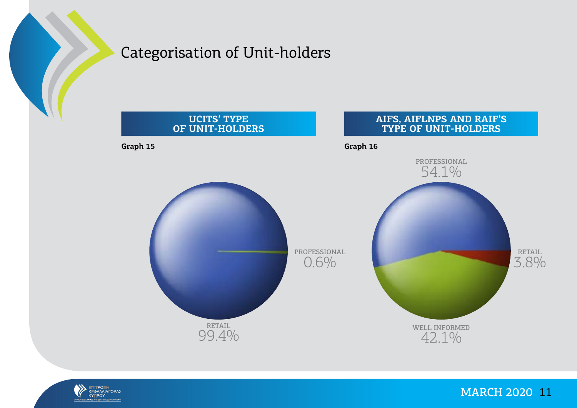

### Categorisation of Unit-holders



![](_page_10_Picture_3.jpeg)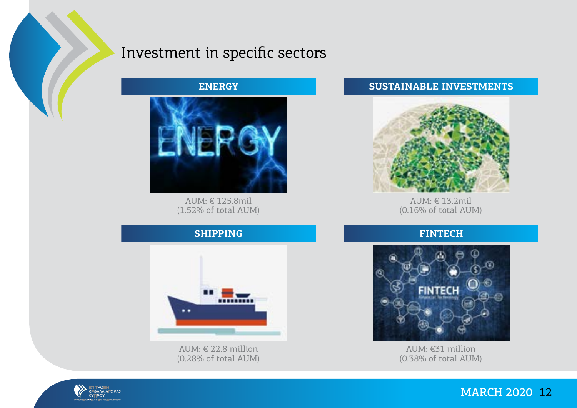![](_page_11_Picture_0.jpeg)

### Investment in specific sectors

**ENERGY**

![](_page_11_Picture_3.jpeg)

AUM: € 125.8mil (1.52% of total AUM)

#### **SUSTAINABLE INVESTMENTS**

![](_page_11_Picture_6.jpeg)

AUM: € 13.2mil (0.16% of total AUM)

#### **FINTECH**

![](_page_11_Picture_9.jpeg)

AUM: €31 million (0.38% of total AUM)

### **SHIPPING**

![](_page_11_Picture_12.jpeg)

AUM: € 22.8 million (0.28% of total AUM)

![](_page_11_Picture_14.jpeg)